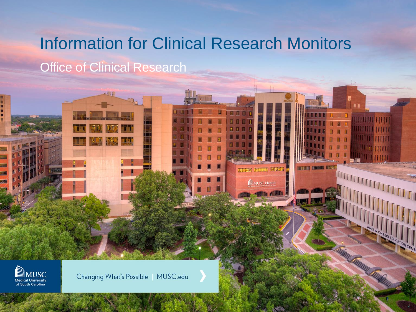## Information for Clinical Research Monitors

**Office of Clinical Research** 

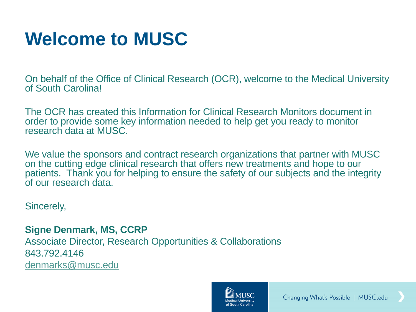## **Welcome to MUSC**

On behalf of the Office of Clinical Research (OCR), welcome to the Medical University of South Carolina!

The OCR has created this Information for Clinical Research Monitors document in order to provide some key information needed to help get you ready to monitor research data at MUSC.

We value the sponsors and contract research organizations that partner with MUSC on the cutting edge clinical research that offers new treatments and hope to our patients. Thank you for helping to ensure the safety of our subjects and the integrity of our research data.

Sincerely,

**Signe Denmark, MS, CCRP** Associate Director, Research Opportunities & Collaborations 843.792.4146 [denmarks@musc.edu](mailto:denmarks@musc.edu)

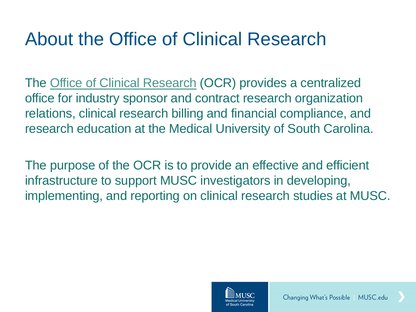### About the Office of Clinical Research

The [Office of Clinical Research](http://academicdepartments.musc.edu/research/ocr/) (OCR) provides a centralized office for industry sponsor and contract research organization relations, clinical research billing and financial compliance, and research education at the Medical University of South Carolina.

The purpose of the OCR is to provide an effective and efficient infrastructure to support MUSC investigators in developing, implementing, and reporting on clinical research studies at MUSC.

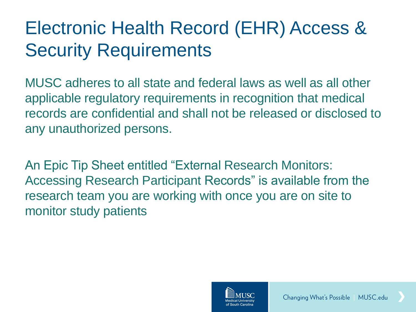### Electronic Health Record (EHR) Access & Security Requirements

MUSC adheres to all state and federal laws as well as all other applicable regulatory requirements in recognition that medical records are confidential and shall not be released or disclosed to any unauthorized persons.

An Epic Tip Sheet entitled "External Research Monitors: Accessing Research Participant Records" is available from the research team you are working with once you are on site to monitor study patients



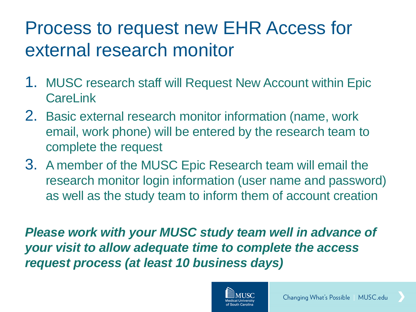### Process to request new EHR Access for external research monitor

- 1. MUSC research staff will Request New Account within Epic **CareLink**
- 2. Basic external research monitor information (name, work email, work phone) will be entered by the research team to complete the request
- 3. A member of the MUSC Epic Research team will email the research monitor login information (user name and password) as well as the study team to inform them of account creation

*Please work with your MUSC study team well in advance of your visit to allow adequate time to complete the access request process (at least 10 business days)*

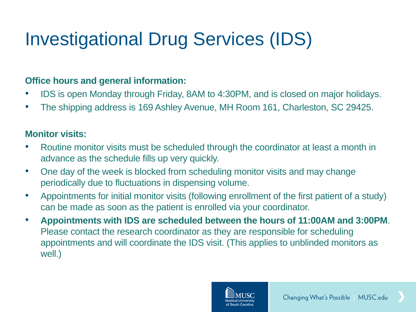# Investigational Drug Services (IDS)

#### **Office hours and general information:**

- IDS is open Monday through Friday, 8AM to 4:30PM, and is closed on major holidays.
- The shipping address is 169 Ashley Avenue, MH Room 161, Charleston, SC 29425.

#### **Monitor visits:**

- Routine monitor visits must be scheduled through the coordinator at least a month in advance as the schedule fills up very quickly.
- One day of the week is blocked from scheduling monitor visits and may change periodically due to fluctuations in dispensing volume.
- Appointments for initial monitor visits (following enrollment of the first patient of a study) can be made as soon as the patient is enrolled via your coordinator.
- **Appointments with IDS are scheduled between the hours of 11:00AM and 3:00PM**. Please contact the research coordinator as they are responsible for scheduling appointments and will coordinate the IDS visit. (This applies to unblinded monitors as well.)

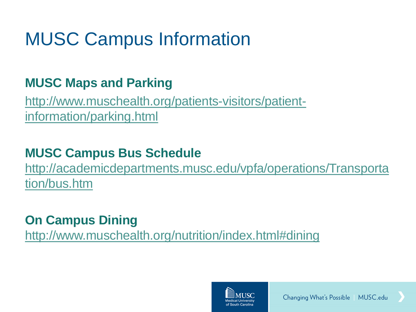## MUSC Campus Information

### **MUSC Maps and Parking**

[http://www.muschealth.org/patients-visitors/patient](http://www.muschealth.org/patients-visitors/patient-information/parking.html)[information/parking.html](http://www.muschealth.org/patients-visitors/patient-information/parking.html)

### **MUSC Campus Bus Schedule**

[http://academicdepartments.musc.edu/vpfa/operations/Transporta](http://academicdepartments.musc.edu/vpfa/operations/Transportation/bus.htm) [tion/bus.htm](http://academicdepartments.musc.edu/vpfa/operations/Transportation/bus.htm)

### **On Campus Dining**

<http://www.muschealth.org/nutrition/index.html#dining>

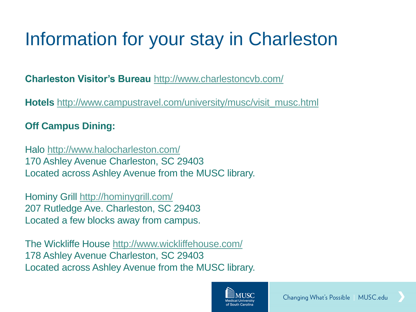## Information for your stay in Charleston

**Charleston Visitor's Bureau** <http://www.charlestoncvb.com/>

**Hotels** [http://www.campustravel.com/university/musc/visit\\_musc.html](http://www.campustravel.com/university/musc/visit_musc.html)

#### **Off Campus Dining:**

Halo<http://www.halocharleston.com/> 170 Ashley Avenue Charleston, SC 29403 Located across Ashley Avenue from the MUSC library.

Hominy Grill<http://hominygrill.com/> 207 Rutledge Ave. Charleston, SC 29403 Located a few blocks away from campus.

The Wickliffe House<http://www.wickliffehouse.com/> 178 Ashley Avenue Charleston, SC 29403 Located across Ashley Avenue from the MUSC library.

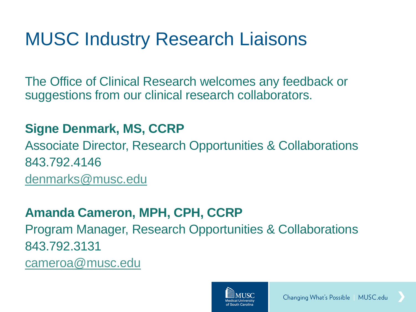### MUSC Industry Research Liaisons

The Office of Clinical Research welcomes any feedback or suggestions from our clinical research collaborators.

#### **Signe Denmark, MS, CCRP**

Associate Director, Research Opportunities & Collaborations 843.792.4146

[denmarks@musc.edu](mailto:denmarks@musc.edu)

#### **Amanda Cameron, MPH, CPH, CCRP**

Program Manager, Research Opportunities & Collaborations 843.792.3131

[cameroa@musc.edu](mailto:cameroa@musc.edu)